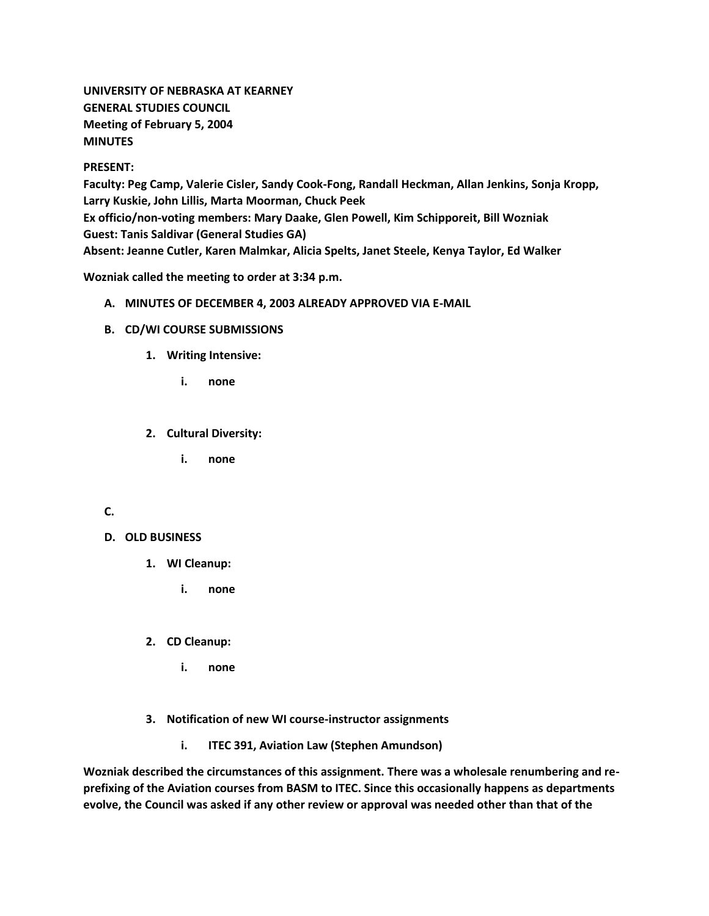**UNIVERSITY OF NEBRASKA AT KEARNEY GENERAL STUDIES COUNCIL Meeting of February 5, 2004 MINUTES**

#### **PRESENT:**

**Faculty: Peg Camp, Valerie Cisler, Sandy Cook-Fong, Randall Heckman, Allan Jenkins, Sonja Kropp, Larry Kuskie, John Lillis, Marta Moorman, Chuck Peek Ex officio/non-voting members: Mary Daake, Glen Powell, Kim Schipporeit, Bill Wozniak Guest: Tanis Saldivar (General Studies GA) Absent: Jeanne Cutler, Karen Malmkar, Alicia Spelts, Janet Steele, Kenya Taylor, Ed Walker**

**Wozniak called the meeting to order at 3:34 p.m.**

- **A. MINUTES OF DECEMBER 4, 2003 ALREADY APPROVED VIA E-MAIL**
- **B. CD/WI COURSE SUBMISSIONS**
	- **1. Writing Intensive:** 
		- **i. none**
	- **2. Cultural Diversity:** 
		- **i. none**

## **C.**

### **D. OLD BUSINESS**

- **1. WI Cleanup:** 
	- **i. none**
- **2. CD Cleanup:** 
	- **i. none**
- **3. Notification of new WI course-instructor assignments** 
	- **i. ITEC 391, Aviation Law (Stephen Amundson)**

**Wozniak described the circumstances of this assignment. There was a wholesale renumbering and reprefixing of the Aviation courses from BASM to ITEC. Since this occasionally happens as departments evolve, the Council was asked if any other review or approval was needed other than that of the**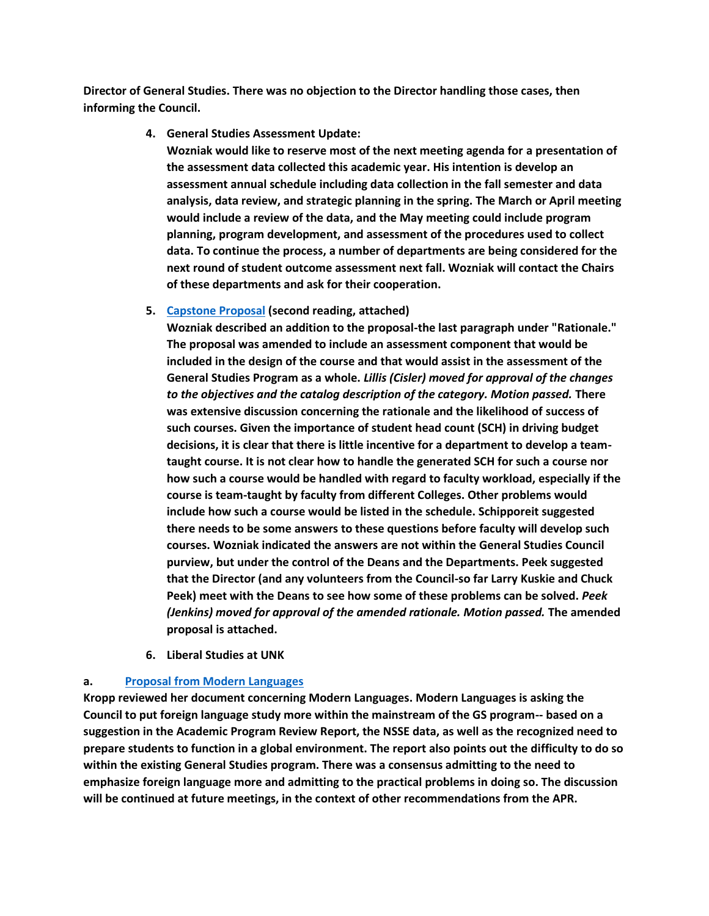**Director of General Studies. There was no objection to the Director handling those cases, then informing the Council.**

#### **4. General Studies Assessment Update:**

**Wozniak would like to reserve most of the next meeting agenda for a presentation of the assessment data collected this academic year. His intention is develop an assessment annual schedule including data collection in the fall semester and data analysis, data review, and strategic planning in the spring. The March or April meeting would include a review of the data, and the May meeting could include program planning, program development, and assessment of the procedures used to collect data. To continue the process, a number of departments are being considered for the next round of student outcome assessment next fall. Wozniak will contact the Chairs of these departments and ask for their cooperation.**

#### **5. [Capstone Proposal](http://www.unk.edu/academicaffairs/generalstudies/index.php?id=3854) (second reading, attached)**

**Wozniak described an addition to the proposal-the last paragraph under "Rationale." The proposal was amended to include an assessment component that would be included in the design of the course and that would assist in the assessment of the General Studies Program as a whole.** *Lillis (Cisler) moved for approval of the changes to the objectives and the catalog description of the category. Motion passed.* **There was extensive discussion concerning the rationale and the likelihood of success of such courses. Given the importance of student head count (SCH) in driving budget decisions, it is clear that there is little incentive for a department to develop a teamtaught course. It is not clear how to handle the generated SCH for such a course nor how such a course would be handled with regard to faculty workload, especially if the course is team-taught by faculty from different Colleges. Other problems would include how such a course would be listed in the schedule. Schipporeit suggested there needs to be some answers to these questions before faculty will develop such courses. Wozniak indicated the answers are not within the General Studies Council purview, but under the control of the Deans and the Departments. Peek suggested that the Director (and any volunteers from the Council-so far Larry Kuskie and Chuck Peek) meet with the Deans to see how some of these problems can be solved.** *Peek (Jenkins) moved for approval of the amended rationale. Motion passed.* **The amended proposal is attached.**

**6. Liberal Studies at UNK** 

### **a. [Proposal from Modern Languages](http://www.unk.edu/academicaffairs/generalstudies/index.php?id=3855)**

**Kropp reviewed her document concerning Modern Languages. Modern Languages is asking the Council to put foreign language study more within the mainstream of the GS program-- based on a suggestion in the Academic Program Review Report, the NSSE data, as well as the recognized need to prepare students to function in a global environment. The report also points out the difficulty to do so within the existing General Studies program. There was a consensus admitting to the need to emphasize foreign language more and admitting to the practical problems in doing so. The discussion will be continued at future meetings, in the context of other recommendations from the APR.**